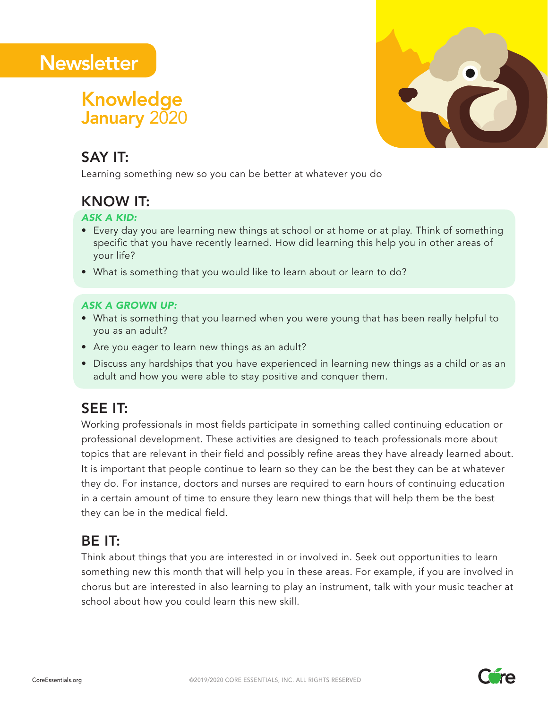# **Newsletter**

## January 2020 Knowledge



## SAY IT:

Learning something new so you can be better at whatever you do

## KNOW IT:

### *ASK A KID:*

- Every day you are learning new things at school or at home or at play. Think of something specific that you have recently learned. How did learning this help you in other areas of your life?
- What is something that you would like to learn about or learn to do?

### *ASK A GROWN UP:*

- What is something that you learned when you were young that has been really helpful to you as an adult?
- Are you eager to learn new things as an adult?
- Discuss any hardships that you have experienced in learning new things as a child or as an adult and how you were able to stay positive and conquer them.

## SEE IT:

Working professionals in most fields participate in something called continuing education or professional development. These activities are designed to teach professionals more about topics that are relevant in their field and possibly refine areas they have already learned about. It is important that people continue to learn so they can be the best they can be at whatever they do. For instance, doctors and nurses are required to earn hours of continuing education in a certain amount of time to ensure they learn new things that will help them be the best they can be in the medical field.

## BE IT:

Think about things that you are interested in or involved in. Seek out opportunities to learn something new this month that will help you in these areas. For example, if you are involved in chorus but are interested in also learning to play an instrument, talk with your music teacher at school about how you could learn this new skill.